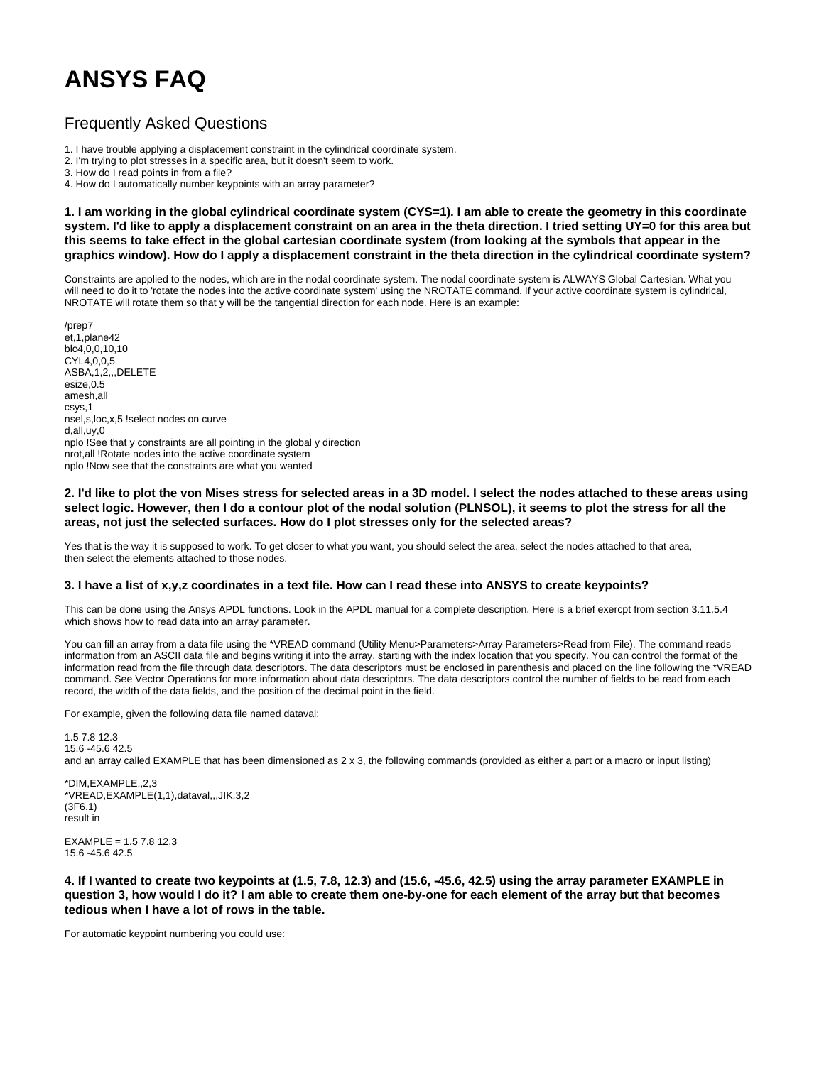## **ANSYS FAQ**

## Frequently Asked Questions

1. I have trouble applying a displacement constraint in the cylindrical coordinate system.

2. I'm trying to plot stresses in a specific area, but it doesn't seem to work.

3. How do I read points in from a file?

4. How do I automatically number keypoints with an array parameter?

**1. I am working in the global cylindrical coordinate system (CYS=1). I am able to create the geometry in this coordinate system. I'd like to apply a displacement constraint on an area in the theta direction. I tried setting UY=0 for this area but this seems to take effect in the global cartesian coordinate system (from looking at the symbols that appear in the graphics window). How do I apply a displacement constraint in the theta direction in the cylindrical coordinate system?**

Constraints are applied to the nodes, which are in the nodal coordinate system. The nodal coordinate system is ALWAYS Global Cartesian. What you will need to do it to 'rotate the nodes into the active coordinate system' using the NROTATE command. If your active coordinate system is cylindrical, NROTATE will rotate them so that y will be the tangential direction for each node. Here is an example:

/prep7 et,1,plane42 blc4,0,0,10,10 CYL4,0,0,5 ASBA,1,2,,,DELETE esize,0.5 amesh,all csys,1 nsel,s,loc,x,5 !select nodes on curve d,all,uy,0 nplo !See that y constraints are all pointing in the global y direction nrot,all !Rotate nodes into the active coordinate system nplo !Now see that the constraints are what you wanted

## **2. I'd like to plot the von Mises stress for selected areas in a 3D model. I select the nodes attached to these areas using select logic. However, then I do a contour plot of the nodal solution (PLNSOL), it seems to plot the stress for all the areas, not just the selected surfaces. How do I plot stresses only for the selected areas?**

Yes that is the way it is supposed to work. To get closer to what you want, you should select the area, select the nodes attached to that area, then select the elements attached to those nodes.

## **3. I have a list of x,y,z coordinates in a text file. How can I read these into ANSYS to create keypoints?**

This can be done using the Ansys APDL functions. Look in the APDL manual for a complete description. Here is a brief exercpt from section 3.11.5.4 which shows how to read data into an array parameter.

You can fill an array from a data file using the \*VREAD command (Utility Menu>Parameters>Array Parameters>Read from File). The command reads information from an ASCII data file and begins writing it into the array, starting with the index location that you specify. You can control the format of the information read from the file through data descriptors. The data descriptors must be enclosed in parenthesis and placed on the line following the \*VREAD command. See Vector Operations for more information about data descriptors. The data descriptors control the number of fields to be read from each record, the width of the data fields, and the position of the decimal point in the field.

For example, given the following data file named dataval:

1.5 7.8 12.3 15.6 -45.6 42.5 and an array called EXAMPLE that has been dimensioned as 2 x 3, the following commands (provided as either a part or a macro or input listing)

\*DIM,EXAMPLE,,2,3 \*VREAD,EXAMPLE(1,1),dataval,,,JIK,3,2 (3F6.1) result in

EXAMPLE = 1.5 7.8 12.3 15.6 -45.6 42.5

**4. If I wanted to create two keypoints at (1.5, 7.8, 12.3) and (15.6, -45.6, 42.5) using the array parameter EXAMPLE in question 3, how would I do it? I am able to create them one-by-one for each element of the array but that becomes tedious when I have a lot of rows in the table.**

For automatic keypoint numbering you could use: